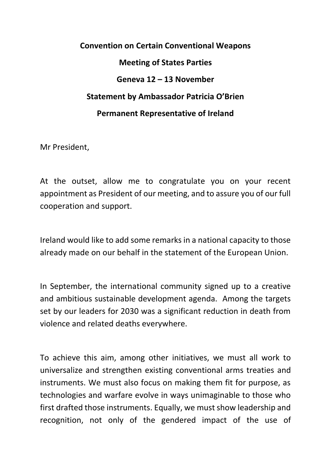## **Convention on Certain Conventional Weapons Meeting of States Parties Geneva 12 – 13 November Statement by Ambassador Patricia O'Brien Permanent Representative of Ireland**

Mr President,

At the outset, allow me to congratulate you on your recent appointment as President of our meeting, and to assure you of our full cooperation and support.

Ireland would like to add some remarks in a national capacity to those already made on our behalf in the statement of the European Union.

In September, the international community signed up to a creative and ambitious sustainable development agenda. Among the targets set by our leaders for 2030 was a significant reduction in death from violence and related deaths everywhere.

To achieve this aim, among other initiatives, we must all work to universalize and strengthen existing conventional arms treaties and instruments. We must also focus on making them fit for purpose, as technologies and warfare evolve in ways unimaginable to those who first drafted those instruments. Equally, we must show leadership and recognition, not only of the gendered impact of the use of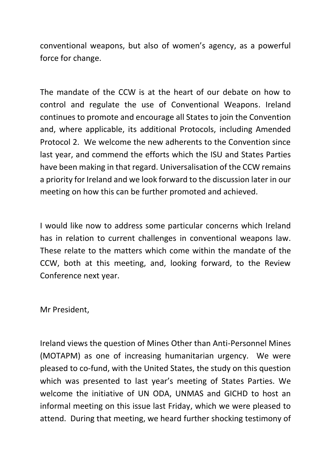conventional weapons, but also of women's agency, as a powerful force for change.

The mandate of the CCW is at the heart of our debate on how to control and regulate the use of Conventional Weapons. Ireland continues to promote and encourage all States to join the Convention and, where applicable, its additional Protocols, including Amended Protocol 2. We welcome the new adherents to the Convention since last year, and commend the efforts which the ISU and States Parties have been making in that regard. Universalisation of the CCW remains a priority for Ireland and we look forward to the discussion later in our meeting on how this can be further promoted and achieved.

I would like now to address some particular concerns which Ireland has in relation to current challenges in conventional weapons law. These relate to the matters which come within the mandate of the CCW, both at this meeting, and, looking forward, to the Review Conference next year.

Mr President,

Ireland views the question of Mines Other than Anti-Personnel Mines (MOTAPM) as one of increasing humanitarian urgency. We were pleased to co-fund, with the United States, the study on this question which was presented to last year's meeting of States Parties. We welcome the initiative of UN ODA, UNMAS and GICHD to host an informal meeting on this issue last Friday, which we were pleased to attend. During that meeting, we heard further shocking testimony of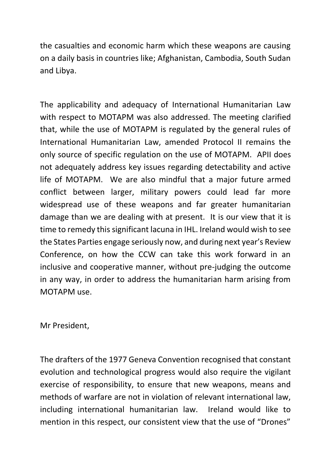the casualties and economic harm which these weapons are causing on a daily basis in countries like; Afghanistan, Cambodia, South Sudan and Libya.

The applicability and adequacy of International Humanitarian Law with respect to MOTAPM was also addressed. The meeting clarified that, while the use of MOTAPM is regulated by the general rules of International Humanitarian Law, amended Protocol II remains the only source of specific regulation on the use of MOTAPM. APII does not adequately address key issues regarding detectability and active life of MOTAPM. We are also mindful that a major future armed conflict between larger, military powers could lead far more widespread use of these weapons and far greater humanitarian damage than we are dealing with at present. It is our view that it is time to remedy this significant lacuna in IHL. Ireland would wish to see the States Parties engage seriously now, and during next year's Review Conference, on how the CCW can take this work forward in an inclusive and cooperative manner, without pre-judging the outcome in any way, in order to address the humanitarian harm arising from MOTAPM use.

Mr President,

The drafters of the 1977 Geneva Convention recognised that constant evolution and technological progress would also require the vigilant exercise of responsibility, to ensure that new weapons, means and methods of warfare are not in violation of relevant international law, including international humanitarian law. Ireland would like to mention in this respect, our consistent view that the use of "Drones"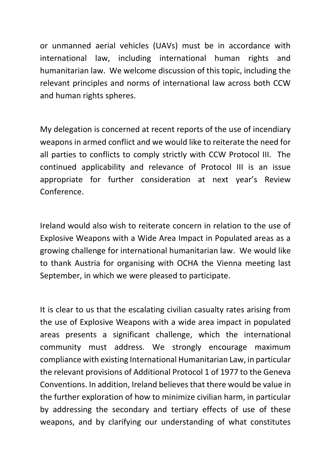or unmanned aerial vehicles (UAVs) must be in accordance with international law, including international human rights and humanitarian law. We welcome discussion of this topic, including the relevant principles and norms of international law across both CCW and human rights spheres.

My delegation is concerned at recent reports of the use of incendiary weapons in armed conflict and we would like to reiterate the need for all parties to conflicts to comply strictly with CCW Protocol III. The continued applicability and relevance of Protocol III is an issue appropriate for further consideration at next year's Review Conference.

Ireland would also wish to reiterate concern in relation to the use of Explosive Weapons with a Wide Area Impact in Populated areas as a growing challenge for international humanitarian law. We would like to thank Austria for organising with OCHA the Vienna meeting last September, in which we were pleased to participate.

It is clear to us that the escalating civilian casualty rates arising from the use of Explosive Weapons with a wide area impact in populated areas presents a significant challenge, which the international community must address. We strongly encourage maximum compliance with existing International Humanitarian Law, in particular the relevant provisions of Additional Protocol 1 of 1977 to the Geneva Conventions. In addition, Ireland believes that there would be value in the further exploration of how to minimize civilian harm, in particular by addressing the secondary and tertiary effects of use of these weapons, and by clarifying our understanding of what constitutes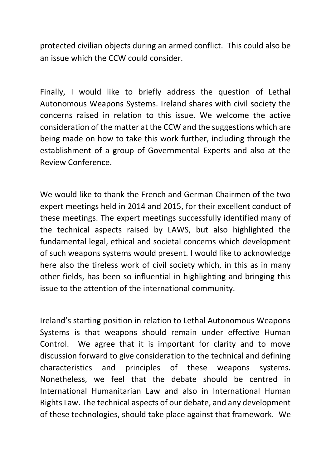protected civilian objects during an armed conflict. This could also be an issue which the CCW could consider.

Finally, I would like to briefly address the question of Lethal Autonomous Weapons Systems. Ireland shares with civil society the concerns raised in relation to this issue. We welcome the active consideration of the matter at the CCW and the suggestions which are being made on how to take this work further, including through the establishment of a group of Governmental Experts and also at the Review Conference.

We would like to thank the French and German Chairmen of the two expert meetings held in 2014 and 2015, for their excellent conduct of these meetings. The expert meetings successfully identified many of the technical aspects raised by LAWS, but also highlighted the fundamental legal, ethical and societal concerns which development of such weapons systems would present. I would like to acknowledge here also the tireless work of civil society which, in this as in many other fields, has been so influential in highlighting and bringing this issue to the attention of the international community.

Ireland's starting position in relation to Lethal Autonomous Weapons Systems is that weapons should remain under effective Human Control. We agree that it is important for clarity and to move discussion forward to give consideration to the technical and defining characteristics and principles of these weapons systems. Nonetheless, we feel that the debate should be centred in International Humanitarian Law and also in International Human Rights Law. The technical aspects of our debate, and any development of these technologies, should take place against that framework. We